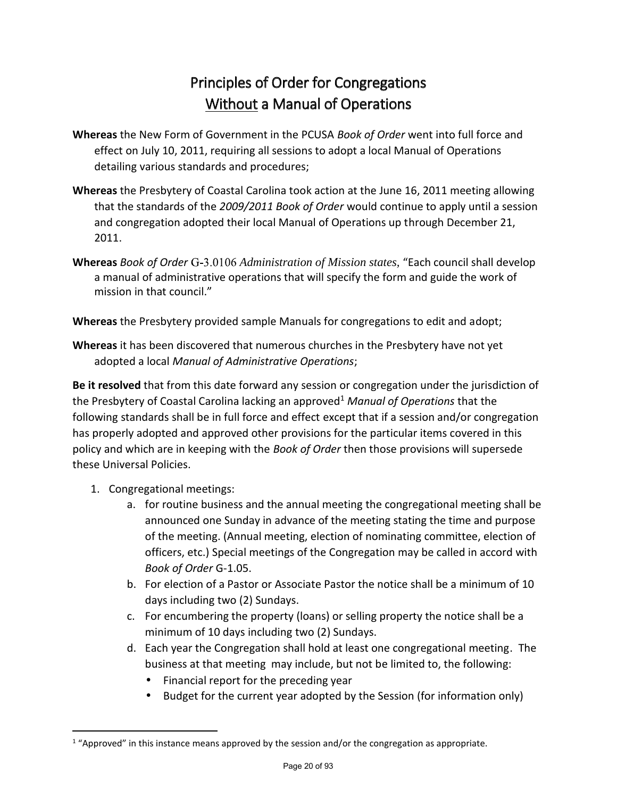## Principles of Order for Congregations Without a Manual of Operations

- **Whereas** the New Form of Government in the PCUSA *Book of Order* went into full force and effect on July 10, 2011, requiring all sessions to adopt a local Manual of Operations detailing various standards and procedures;
- **Whereas** the Presbytery of Coastal Carolina took action at the June 16, 2011 meeting allowing that the standards of the *2009/2011 Book of Order* would continue to apply until a session and congregation adopted their local Manual of Operations up through December 21, 2011.
- **Whereas** *Book of Order* G-3.0106 *Administration of Mission states*, "Each council shall develop a manual of administrative operations that will specify the form and guide the work of mission in that council."

**Whereas** the Presbytery provided sample Manuals for congregations to edit and adopt;

**Whereas** it has been discovered that numerous churches in the Presbytery have not yet adopted a local *Manual of Administrative Operations*;

**Be it resolved** that from this date forward any session or congregation under the jurisdiction of the Presbytery of Coastal Carolina lacking an approved<sup>1</sup> *Manual of Operations* that the following standards shall be in full force and effect except that if a session and/or congregation has properly adopted and approved other provisions for the particular items covered in this policy and which are in keeping with the *Book of Order* then those provisions will supersede these Universal Policies.

- 1. Congregational meetings:
	- a. for routine business and the annual meeting the congregational meeting shall be announced one Sunday in advance of the meeting stating the time and purpose of the meeting. (Annual meeting, election of nominating committee, election of officers, etc.) Special meetings of the Congregation may be called in accord with *Book of Order* G-1.05.
	- b. For election of a Pastor or Associate Pastor the notice shall be a minimum of 10 days including two (2) Sundays.
	- c. For encumbering the property (loans) or selling property the notice shall be a minimum of 10 days including two (2) Sundays.
	- d. Each year the Congregation shall hold at least one congregational meeting. The business at that meeting may include, but not be limited to, the following:
		- Financial report for the preceding year
		- Budget for the current year adopted by the Session (for information only)

 $1$  "Approved" in this instance means approved by the session and/or the congregation as appropriate.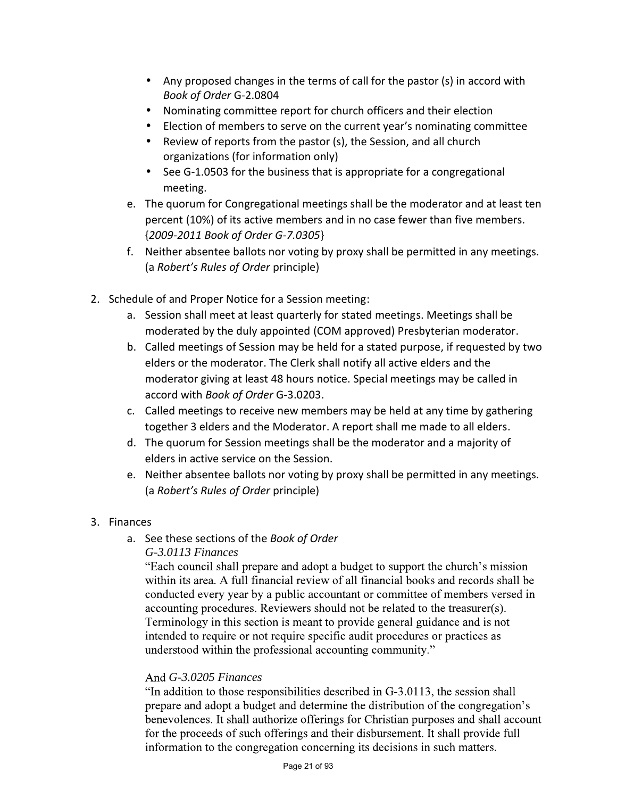- Any proposed changes in the terms of call for the pastor (s) in accord with *Book of Order* G-2.0804
- Nominating committee report for church officers and their election
- Election of members to serve on the current year's nominating committee
- Review of reports from the pastor (s), the Session, and all church organizations (for information only)
- See G-1.0503 for the business that is appropriate for a congregational meeting.
- e. The quorum for Congregational meetings shall be the moderator and at least ten percent (10%) of its active members and in no case fewer than five members. {*2009-2011 Book of Order G-7.0305*}
- f. Neither absentee ballots nor voting by proxy shall be permitted in any meetings. (a *Robert's Rules of Order* principle)
- 2. Schedule of and Proper Notice for a Session meeting:
	- a. Session shall meet at least quarterly for stated meetings. Meetings shall be moderated by the duly appointed (COM approved) Presbyterian moderator.
	- b. Called meetings of Session may be held for a stated purpose, if requested by two elders or the moderator. The Clerk shall notify all active elders and the moderator giving at least 48 hours notice. Special meetings may be called in accord with *Book of Order* G-3.0203.
	- c. Called meetings to receive new members may be held at any time by gathering together 3 elders and the Moderator. A report shall me made to all elders.
	- d. The quorum for Session meetings shall be the moderator and a majority of elders in active service on the Session.
	- e. Neither absentee ballots nor voting by proxy shall be permitted in any meetings. (a *Robert's Rules of Order* principle)
- 3. Finances
	- a. See these sections of the *Book of Order G-3.0113 Finances*

"Each council shall prepare and adopt a budget to support the church's mission within its area. A full financial review of all financial books and records shall be conducted every year by a public accountant or committee of members versed in accounting procedures. Reviewers should not be related to the treasurer(s). Terminology in this section is meant to provide general guidance and is not intended to require or not require specific audit procedures or practices as understood within the professional accounting community."

## *G-3.0205 Finances*

"In addition to those responsibilities described in G-3.0113, the session shall prepare and adopt a budget and determine the distribution of the congregation's benevolences. It shall authorize offerings for Christian purposes and shall account for the proceeds of such offerings and their disbursement. It shall provide full information to the congregation concerning its decisions in such matters.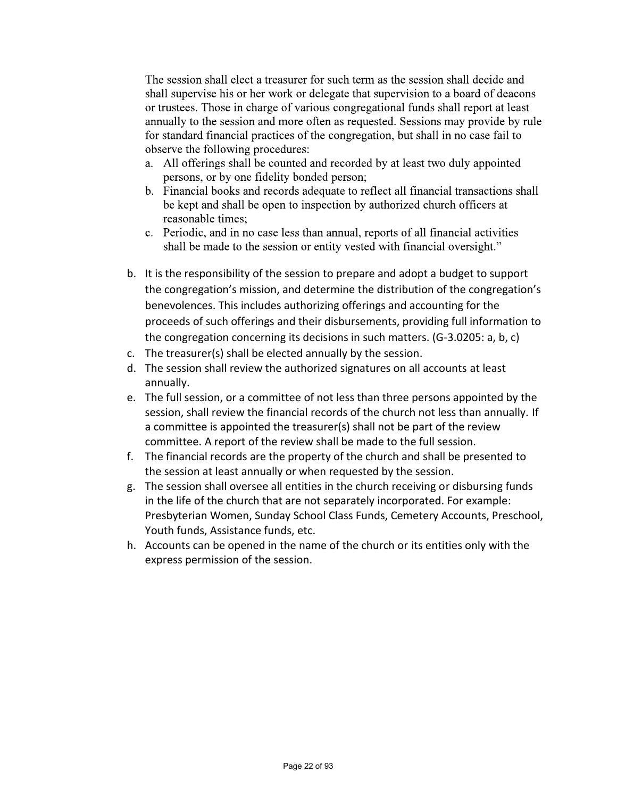The session shall elect a treasurer for such term as the session shall decide and shall supervise his or her work or delegate that supervision to a board of deacons or trustees. Those in charge of various congregational funds shall report at least annually to the session and more often as requested. Sessions may provide by rule for standard financial practices of the congregation, but shall in no case fail to observe the following procedures:

- a. All offerings shall be counted and recorded by at least two duly appointed persons, or by one fidelity bonded person;
- b. Financial books and records adequate to reflect all financial transactions shall be kept and shall be open to inspection by authorized church officers at reasonable times:
- c. Periodic, and in no case less than annual, reports of all financial activities shall be made to the session or entity vested with financial oversight."
- b. It is the responsibility of the session to prepare and adopt a budget to support the congregation's mission, and determine the distribution of the congregation's benevolences. This includes authorizing offerings and accounting for the proceeds of such offerings and their disbursements, providing full information to the congregation concerning its decisions in such matters. (G-3.0205: a, b, c)
- c. The treasurer(s) shall be elected annually by the session.
- d. The session shall review the authorized signatures on all accounts at least annually.
- e. The full session, or a committee of not less than three persons appointed by the session, shall review the financial records of the church not less than annually. If a committee is appointed the treasurer(s) shall not be part of the review committee. A report of the review shall be made to the full session.
- f. The financial records are the property of the church and shall be presented to the session at least annually or when requested by the session.
- g. The session shall oversee all entities in the church receiving or disbursing funds in the life of the church that are not separately incorporated. For example: Presbyterian Women, Sunday School Class Funds, Cemetery Accounts, Preschool, Youth funds, Assistance funds, etc.
- h. Accounts can be opened in the name of the church or its entities only with the express permission of the session.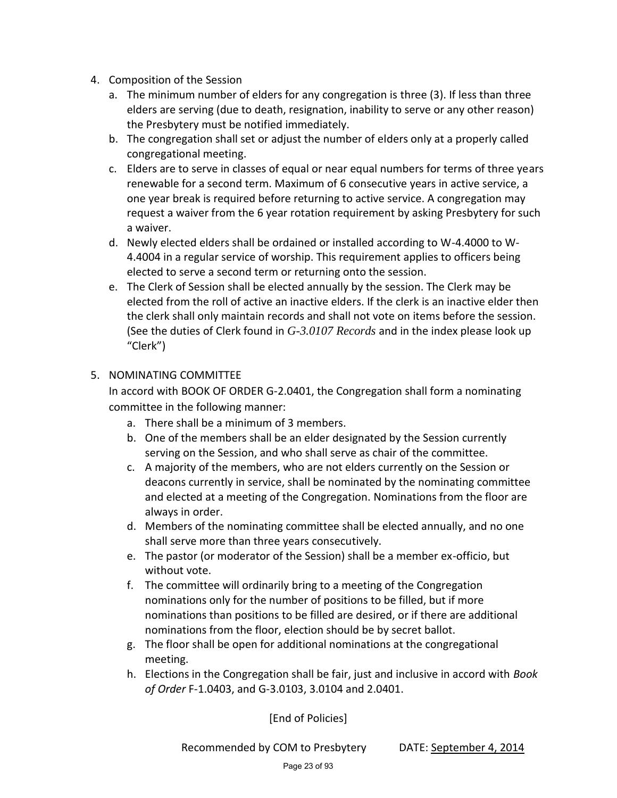- 4. Composition of the Session
	- a. The minimum number of elders for any congregation is three (3). If less than three elders are serving (due to death, resignation, inability to serve or any other reason) the Presbytery must be notified immediately.
	- b. The congregation shall set or adjust the number of elders only at a properly called congregational meeting.
	- c. Elders are to serve in classes of equal or near equal numbers for terms of three years renewable for a second term. Maximum of 6 consecutive years in active service, a one year break is required before returning to active service. A congregation may request a waiver from the 6 year rotation requirement by asking Presbytery for such a waiver.
	- d. Newly elected elders shall be ordained or installed according to W-4.4000 to W- 4.4004 in a regular service of worship. This requirement applies to officers being elected to serve a second term or returning onto the session.
	- e. The Clerk of Session shall be elected annually by the session. The Clerk may be elected from the roll of active an inactive elders. If the clerk is an inactive elder then the clerk shall only maintain records and shall not vote on items before the session. (See the duties of Clerk found in *G-3.0107 Records* and in the index please look up "Clerk")

## 5. NOMINATING COMMITTEE

In accord with BOOK OF ORDER G-2.0401, the Congregation shall form a nominating committee in the following manner:

- a. There shall be a minimum of 3 members.
- b. One of the members shall be an elder designated by the Session currently serving on the Session, and who shall serve as chair of the committee.
- c. A majority of the members, who are not elders currently on the Session or deacons currently in service, shall be nominated by the nominating committee and elected at a meeting of the Congregation. Nominations from the floor are always in order.
- d. Members of the nominating committee shall be elected annually, and no one shall serve more than three years consecutively.
- e. The pastor (or moderator of the Session) shall be a member ex-officio, but without vote.
- f. The committee will ordinarily bring to a meeting of the Congregation nominations only for the number of positions to be filled, but if more nominations than positions to be filled are desired, or if there are additional nominations from the floor, election should be by secret ballot.
- g. The floor shall be open for additional nominations at the congregational meeting.
- h. Elections in the Congregation shall be fair, just and inclusive in accord with *Book of Order* F-1.0403, and G-3.0103, 3.0104 and 2.0401.

[End of Policies]